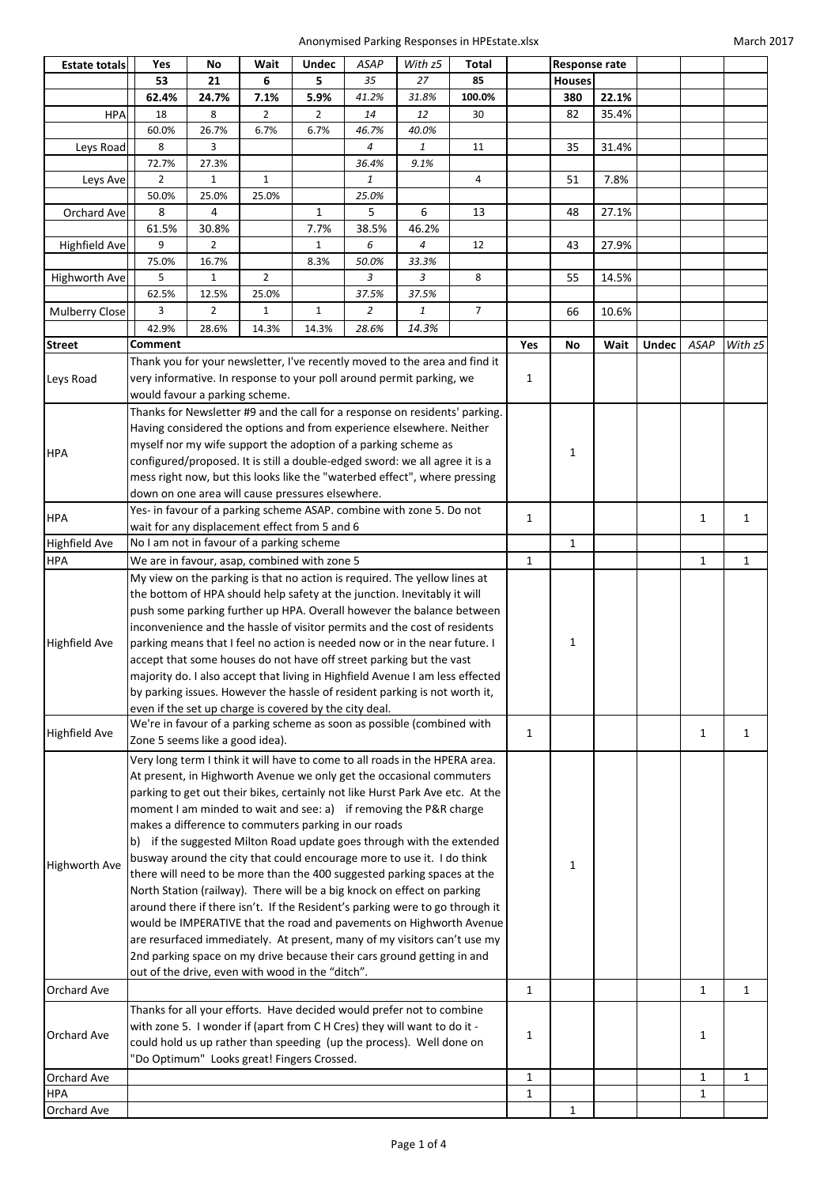| <b>Estate totals</b>  | Yes                                                                                                                                                   | No                                                                                                                            | Wait           | <b>Undec</b> | <b>ASAP</b>    | With z5 | Total          |              | <b>Response rate</b> |       |              |              |              |
|-----------------------|-------------------------------------------------------------------------------------------------------------------------------------------------------|-------------------------------------------------------------------------------------------------------------------------------|----------------|--------------|----------------|---------|----------------|--------------|----------------------|-------|--------------|--------------|--------------|
|                       | 53                                                                                                                                                    | 21                                                                                                                            | 6              | 5            | 35             | 27      | 85             |              | <b>Houses</b>        |       |              |              |              |
|                       | 62.4%                                                                                                                                                 | 24.7%                                                                                                                         | 7.1%           | 5.9%         | 41.2%          | 31.8%   | 100.0%         |              | 380                  | 22.1% |              |              |              |
| <b>HPA</b>            | 18                                                                                                                                                    | 8                                                                                                                             | $\overline{2}$ | 2            | 14             | 12      | 30             |              | 82                   | 35.4% |              |              |              |
|                       | 60.0%                                                                                                                                                 | 26.7%                                                                                                                         | 6.7%           | 6.7%         | 46.7%          | 40.0%   |                |              |                      |       |              |              |              |
| Leys Road             | 8                                                                                                                                                     | 3                                                                                                                             |                |              | 4              | 1       | 11             |              | 35                   | 31.4% |              |              |              |
|                       | 72.7%                                                                                                                                                 | 27.3%                                                                                                                         |                |              | 36.4%          | 9.1%    |                |              |                      |       |              |              |              |
| Leys Ave              | $\overline{2}$                                                                                                                                        | 1                                                                                                                             | $\mathbf{1}$   |              | 1              |         | 4              |              | 51                   | 7.8%  |              |              |              |
|                       | 50.0%                                                                                                                                                 | 25.0%                                                                                                                         | 25.0%          |              | 25.0%          |         |                |              |                      |       |              |              |              |
| Orchard Ave           | 8                                                                                                                                                     | 4                                                                                                                             |                | $\mathbf{1}$ | 5              | 6       | 13             |              | 48                   | 27.1% |              |              |              |
|                       | 61.5%                                                                                                                                                 | 30.8%                                                                                                                         |                | 7.7%         | 38.5%          | 46.2%   |                |              |                      |       |              |              |              |
| <b>Highfield Ave</b>  | 9                                                                                                                                                     | 2                                                                                                                             |                | $\mathbf 1$  | 6              | 4       | 12             |              | 43                   | 27.9% |              |              |              |
|                       | 75.0%                                                                                                                                                 | 16.7%                                                                                                                         |                | 8.3%         | 50.0%          | 33.3%   |                |              |                      |       |              |              |              |
| Highworth Ave         | 5                                                                                                                                                     | 1                                                                                                                             | $\overline{2}$ |              | 3              | 3       | 8              |              | 55                   | 14.5% |              |              |              |
|                       | 62.5%                                                                                                                                                 | 12.5%                                                                                                                         | 25.0%          |              | 37.5%          | 37.5%   |                |              |                      |       |              |              |              |
| <b>Mulberry Close</b> | 3                                                                                                                                                     | $\overline{2}$                                                                                                                | $\mathbf 1$    | $\mathbf 1$  | $\overline{2}$ | 1       | $\overline{7}$ |              | 66                   | 10.6% |              |              |              |
|                       | 42.9%                                                                                                                                                 | 28.6%                                                                                                                         | 14.3%          | 14.3%        | 28.6%          | 14.3%   |                |              |                      |       |              |              |              |
| <b>Street</b>         | Comment                                                                                                                                               |                                                                                                                               |                |              |                |         |                | Yes          | No                   | Wait  | <b>Undec</b> | <b>ASAP</b>  | With z5      |
|                       | Thank you for your newsletter, I've recently moved to the area and find it                                                                            |                                                                                                                               |                |              |                |         |                |              |                      |       |              |              |              |
| Leys Road             | very informative. In response to your poll around permit parking, we                                                                                  |                                                                                                                               |                |              |                |         |                | 1            |                      |       |              |              |              |
|                       | would favour a parking scheme.                                                                                                                        |                                                                                                                               |                |              |                |         |                |              |                      |       |              |              |              |
|                       | Thanks for Newsletter #9 and the call for a response on residents' parking.                                                                           |                                                                                                                               |                |              |                |         |                |              |                      |       |              |              |              |
|                       | Having considered the options and from experience elsewhere. Neither                                                                                  |                                                                                                                               |                |              |                |         |                |              |                      |       |              |              |              |
|                       | myself nor my wife support the adoption of a parking scheme as                                                                                        |                                                                                                                               |                |              |                |         |                |              |                      |       |              |              |              |
| <b>HPA</b>            | configured/proposed. It is still a double-edged sword: we all agree it is a                                                                           |                                                                                                                               |                |              |                |         |                |              | $\mathbf{1}$         |       |              |              |              |
|                       |                                                                                                                                                       |                                                                                                                               |                |              |                |         |                |              |                      |       |              |              |              |
|                       |                                                                                                                                                       | mess right now, but this looks like the "waterbed effect", where pressing<br>down on one area will cause pressures elsewhere. |                |              |                |         |                |              |                      |       |              |              |              |
|                       |                                                                                                                                                       |                                                                                                                               |                |              |                |         |                |              |                      |       |              |              |              |
| <b>HPA</b>            | Yes- in favour of a parking scheme ASAP. combine with zone 5. Do not<br>wait for any displacement effect from 5 and 6                                 |                                                                                                                               |                |              |                |         |                | $\mathbf{1}$ |                      |       |              | 1            | 1            |
| <b>Highfield Ave</b>  | No I am not in favour of a parking scheme                                                                                                             |                                                                                                                               |                |              |                |         |                |              | $\mathbf{1}$         |       |              |              |              |
| <b>HPA</b>            | We are in favour, asap, combined with zone 5                                                                                                          |                                                                                                                               |                |              |                |         |                | $\mathbf{1}$ |                      |       |              | $\mathbf{1}$ | 1            |
|                       | My view on the parking is that no action is required. The yellow lines at                                                                             |                                                                                                                               |                |              |                |         |                |              |                      |       |              |              |              |
|                       | the bottom of HPA should help safety at the junction. Inevitably it will                                                                              |                                                                                                                               |                |              |                |         |                |              |                      |       |              |              |              |
|                       | push some parking further up HPA. Overall however the balance between                                                                                 |                                                                                                                               |                |              |                |         |                |              |                      |       |              |              |              |
|                       |                                                                                                                                                       | inconvenience and the hassle of visitor permits and the cost of residents                                                     |                |              |                |         |                |              |                      |       |              |              |              |
| <b>Highfield Ave</b>  | parking means that I feel no action is needed now or in the near future. I                                                                            |                                                                                                                               |                |              |                |         |                |              | $\mathbf{1}$         |       |              |              |              |
|                       | accept that some houses do not have off street parking but the vast                                                                                   |                                                                                                                               |                |              |                |         |                |              |                      |       |              |              |              |
|                       |                                                                                                                                                       | majority do. I also accept that living in Highfield Avenue I am less effected                                                 |                |              |                |         |                |              |                      |       |              |              |              |
|                       | by parking issues. However the hassle of resident parking is not worth it,                                                                            |                                                                                                                               |                |              |                |         |                |              |                      |       |              |              |              |
|                       | even if the set up charge is covered by the city deal.                                                                                                |                                                                                                                               |                |              |                |         |                |              |                      |       |              |              |              |
| <b>Highfield Ave</b>  | We're in favour of a parking scheme as soon as possible (combined with                                                                                |                                                                                                                               |                |              |                |         |                | $\mathbf{1}$ |                      |       |              | $\mathbf{1}$ | $\mathbf{1}$ |
|                       | Zone 5 seems like a good idea).                                                                                                                       |                                                                                                                               |                |              |                |         |                |              |                      |       |              |              |              |
|                       | Very long term I think it will have to come to all roads in the HPERA area.                                                                           |                                                                                                                               |                |              |                |         |                |              |                      |       |              |              |              |
|                       | At present, in Highworth Avenue we only get the occasional commuters<br>parking to get out their bikes, certainly not like Hurst Park Ave etc. At the |                                                                                                                               |                |              |                |         |                |              |                      |       |              |              |              |
|                       |                                                                                                                                                       |                                                                                                                               |                |              |                |         |                |              |                      |       |              |              |              |
|                       | moment I am minded to wait and see: a) if removing the P&R charge                                                                                     |                                                                                                                               |                |              |                |         |                |              |                      |       |              |              |              |
|                       | makes a difference to commuters parking in our roads                                                                                                  |                                                                                                                               |                |              |                |         |                |              |                      |       |              |              |              |
|                       | b) if the suggested Milton Road update goes through with the extended                                                                                 |                                                                                                                               |                |              |                |         |                |              |                      |       |              |              |              |
| <b>Highworth Ave</b>  | busway around the city that could encourage more to use it. I do think                                                                                |                                                                                                                               |                |              |                |         |                |              | 1                    |       |              |              |              |
|                       | there will need to be more than the 400 suggested parking spaces at the                                                                               |                                                                                                                               |                |              |                |         |                |              |                      |       |              |              |              |
|                       | North Station (railway). There will be a big knock on effect on parking                                                                               |                                                                                                                               |                |              |                |         |                |              |                      |       |              |              |              |
|                       | around there if there isn't. If the Resident's parking were to go through it<br>would be IMPERATIVE that the road and pavements on Highworth Avenue   |                                                                                                                               |                |              |                |         |                |              |                      |       |              |              |              |
|                       |                                                                                                                                                       |                                                                                                                               |                |              |                |         |                |              |                      |       |              |              |              |
|                       | are resurfaced immediately. At present, many of my visitors can't use my                                                                              |                                                                                                                               |                |              |                |         |                |              |                      |       |              |              |              |
|                       | 2nd parking space on my drive because their cars ground getting in and                                                                                |                                                                                                                               |                |              |                |         |                |              |                      |       |              |              |              |
|                       | out of the drive, even with wood in the "ditch".                                                                                                      |                                                                                                                               |                |              |                |         |                |              |                      |       |              |              |              |
| Orchard Ave           |                                                                                                                                                       |                                                                                                                               |                |              |                |         |                | $\mathbf{1}$ |                      |       |              | $\mathbf{1}$ | 1            |
|                       | Thanks for all your efforts. Have decided would prefer not to combine                                                                                 |                                                                                                                               |                |              |                |         |                |              |                      |       |              |              |              |
| Orchard Ave           | with zone 5. I wonder if (apart from C H Cres) they will want to do it -                                                                              |                                                                                                                               |                |              |                |         |                | 1            |                      |       |              | 1            |              |
|                       | could hold us up rather than speeding (up the process). Well done on                                                                                  |                                                                                                                               |                |              |                |         |                |              |                      |       |              |              |              |
|                       | "Do Optimum" Looks great! Fingers Crossed.                                                                                                            |                                                                                                                               |                |              |                |         |                |              |                      |       |              |              |              |
| Orchard Ave           |                                                                                                                                                       |                                                                                                                               |                |              |                |         |                | 1            |                      |       |              | 1            | $\mathbf{1}$ |
| <b>HPA</b>            |                                                                                                                                                       |                                                                                                                               |                |              |                |         |                | 1            |                      |       |              | 1            |              |
| Orchard Ave           |                                                                                                                                                       |                                                                                                                               |                |              |                |         |                |              | $\mathbf{1}$         |       |              |              |              |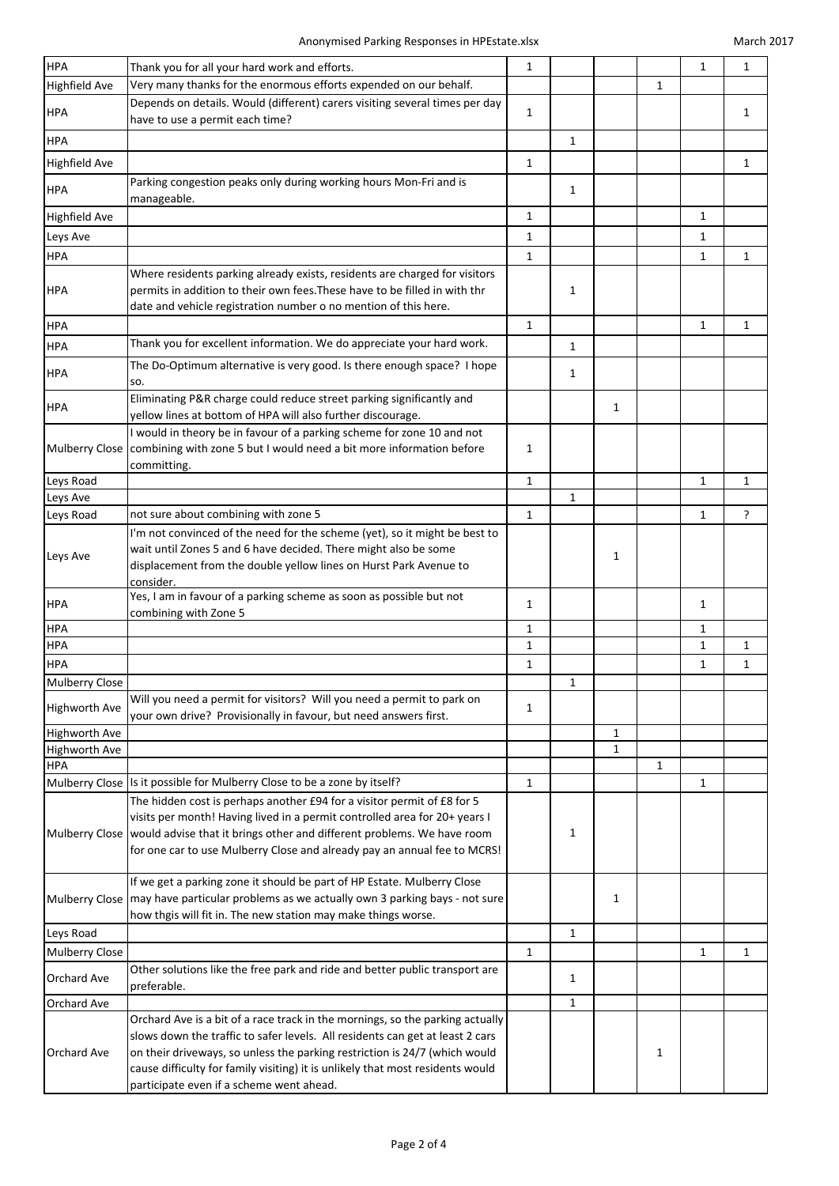| <b>HPA</b>            | Thank you for all your hard work and efforts.                                                                                                                                                                                                                                                                                                                              | $\mathbf{1}$ |              |              |              | $\mathbf{1}$ | 1            |
|-----------------------|----------------------------------------------------------------------------------------------------------------------------------------------------------------------------------------------------------------------------------------------------------------------------------------------------------------------------------------------------------------------------|--------------|--------------|--------------|--------------|--------------|--------------|
| <b>Highfield Ave</b>  | Very many thanks for the enormous efforts expended on our behalf.                                                                                                                                                                                                                                                                                                          |              |              |              | $\mathbf{1}$ |              |              |
| HPA                   | Depends on details. Would (different) carers visiting several times per day<br>have to use a permit each time?                                                                                                                                                                                                                                                             | 1            |              |              |              |              | 1            |
| <b>HPA</b>            |                                                                                                                                                                                                                                                                                                                                                                            |              | $\mathbf{1}$ |              |              |              |              |
| <b>Highfield Ave</b>  |                                                                                                                                                                                                                                                                                                                                                                            | $\mathbf{1}$ |              |              |              |              | $\mathbf{1}$ |
| <b>HPA</b>            | Parking congestion peaks only during working hours Mon-Fri and is<br>manageable.                                                                                                                                                                                                                                                                                           |              | $\mathbf{1}$ |              |              |              |              |
| <b>Highfield Ave</b>  |                                                                                                                                                                                                                                                                                                                                                                            | 1            |              |              |              | $\mathbf{1}$ |              |
| Leys Ave              |                                                                                                                                                                                                                                                                                                                                                                            | 1            |              |              |              | $\mathbf{1}$ |              |
| HPA                   |                                                                                                                                                                                                                                                                                                                                                                            | $\mathbf{1}$ |              |              |              | $\mathbf{1}$ | $\mathbf{1}$ |
| HPA                   | Where residents parking already exists, residents are charged for visitors<br>permits in addition to their own fees. These have to be filled in with thr<br>date and vehicle registration number o no mention of this here.                                                                                                                                                |              | $\mathbf{1}$ |              |              |              |              |
| HPA                   |                                                                                                                                                                                                                                                                                                                                                                            | $\mathbf{1}$ |              |              |              | $\mathbf{1}$ | 1            |
|                       |                                                                                                                                                                                                                                                                                                                                                                            |              |              |              |              |              |              |
| HPA                   | Thank you for excellent information. We do appreciate your hard work.                                                                                                                                                                                                                                                                                                      |              | $\mathbf{1}$ |              |              |              |              |
| <b>HPA</b>            | The Do-Optimum alternative is very good. Is there enough space? I hope<br>SO.                                                                                                                                                                                                                                                                                              |              | $\mathbf{1}$ |              |              |              |              |
| HPA                   | Eliminating P&R charge could reduce street parking significantly and<br>yellow lines at bottom of HPA will also further discourage.                                                                                                                                                                                                                                        |              |              | $\mathbf{1}$ |              |              |              |
| Mulberry Close        | I would in theory be in favour of a parking scheme for zone 10 and not<br>combining with zone 5 but I would need a bit more information before<br>committing.                                                                                                                                                                                                              | 1            |              |              |              |              |              |
| Leys Road             |                                                                                                                                                                                                                                                                                                                                                                            | $\mathbf{1}$ |              |              |              | $\mathbf{1}$ | $\mathbf{1}$ |
| Leys Ave              |                                                                                                                                                                                                                                                                                                                                                                            |              | $\mathbf{1}$ |              |              |              |              |
| Leys Road             | not sure about combining with zone 5                                                                                                                                                                                                                                                                                                                                       | 1            |              |              |              | $\mathbf{1}$ | ?            |
| Leys Ave              | I'm not convinced of the need for the scheme (yet), so it might be best to<br>wait until Zones 5 and 6 have decided. There might also be some<br>displacement from the double yellow lines on Hurst Park Avenue to<br>consider.                                                                                                                                            |              |              | 1            |              |              |              |
| HPA                   | Yes, I am in favour of a parking scheme as soon as possible but not<br>combining with Zone 5                                                                                                                                                                                                                                                                               | $\mathbf{1}$ |              |              |              | $\mathbf{1}$ |              |
| <b>HPA</b>            |                                                                                                                                                                                                                                                                                                                                                                            | $\mathbf{1}$ |              |              |              | 1            |              |
| <b>HPA</b>            |                                                                                                                                                                                                                                                                                                                                                                            | $\mathbf{1}$ |              |              |              | 1            | 1            |
| <b>HPA</b>            |                                                                                                                                                                                                                                                                                                                                                                            |              |              |              |              |              |              |
|                       |                                                                                                                                                                                                                                                                                                                                                                            | 1            |              |              |              | 1            | 1            |
| <b>Mulberry Close</b> |                                                                                                                                                                                                                                                                                                                                                                            |              | 1            |              |              |              |              |
| <b>Highworth Ave</b>  | Will you need a permit for visitors? Will you need a permit to park on<br>your own drive? Provisionally in favour, but need answers first.                                                                                                                                                                                                                                 | 1            |              |              |              |              |              |
| Highworth Ave         |                                                                                                                                                                                                                                                                                                                                                                            |              |              | $\mathbf{1}$ |              |              |              |
| Highworth Ave         |                                                                                                                                                                                                                                                                                                                                                                            |              |              | 1            |              |              |              |
| <b>HPA</b>            |                                                                                                                                                                                                                                                                                                                                                                            |              |              |              | $\mathbf{1}$ |              |              |
|                       | Mulberry Close Is it possible for Mulberry Close to be a zone by itself?                                                                                                                                                                                                                                                                                                   | $\mathbf{1}$ |              |              |              | $\mathbf{1}$ |              |
|                       | The hidden cost is perhaps another £94 for a visitor permit of £8 for 5<br>visits per month! Having lived in a permit controlled area for 20+ years I<br>Mulberry Close would advise that it brings other and different problems. We have room<br>for one car to use Mulberry Close and already pay an annual fee to MCRS!                                                 |              | $\mathbf{1}$ |              |              |              |              |
|                       | If we get a parking zone it should be part of HP Estate. Mulberry Close<br>Mulberry Close   may have particular problems as we actually own 3 parking bays - not sure<br>how thgis will fit in. The new station may make things worse.                                                                                                                                     |              |              | $\mathbf{1}$ |              |              |              |
| Leys Road             |                                                                                                                                                                                                                                                                                                                                                                            |              | $\mathbf{1}$ |              |              |              |              |
| <b>Mulberry Close</b> |                                                                                                                                                                                                                                                                                                                                                                            | 1            |              |              |              | 1            | 1            |
| Orchard Ave           | Other solutions like the free park and ride and better public transport are<br>preferable.                                                                                                                                                                                                                                                                                 |              | $\mathbf{1}$ |              |              |              |              |
| Orchard Ave           |                                                                                                                                                                                                                                                                                                                                                                            |              | $\mathbf{1}$ |              |              |              |              |
| Orchard Ave           | Orchard Ave is a bit of a race track in the mornings, so the parking actually<br>slows down the traffic to safer levels. All residents can get at least 2 cars<br>on their driveways, so unless the parking restriction is 24/7 (which would<br>cause difficulty for family visiting) it is unlikely that most residents would<br>participate even if a scheme went ahead. |              |              |              | $\mathbf{1}$ |              |              |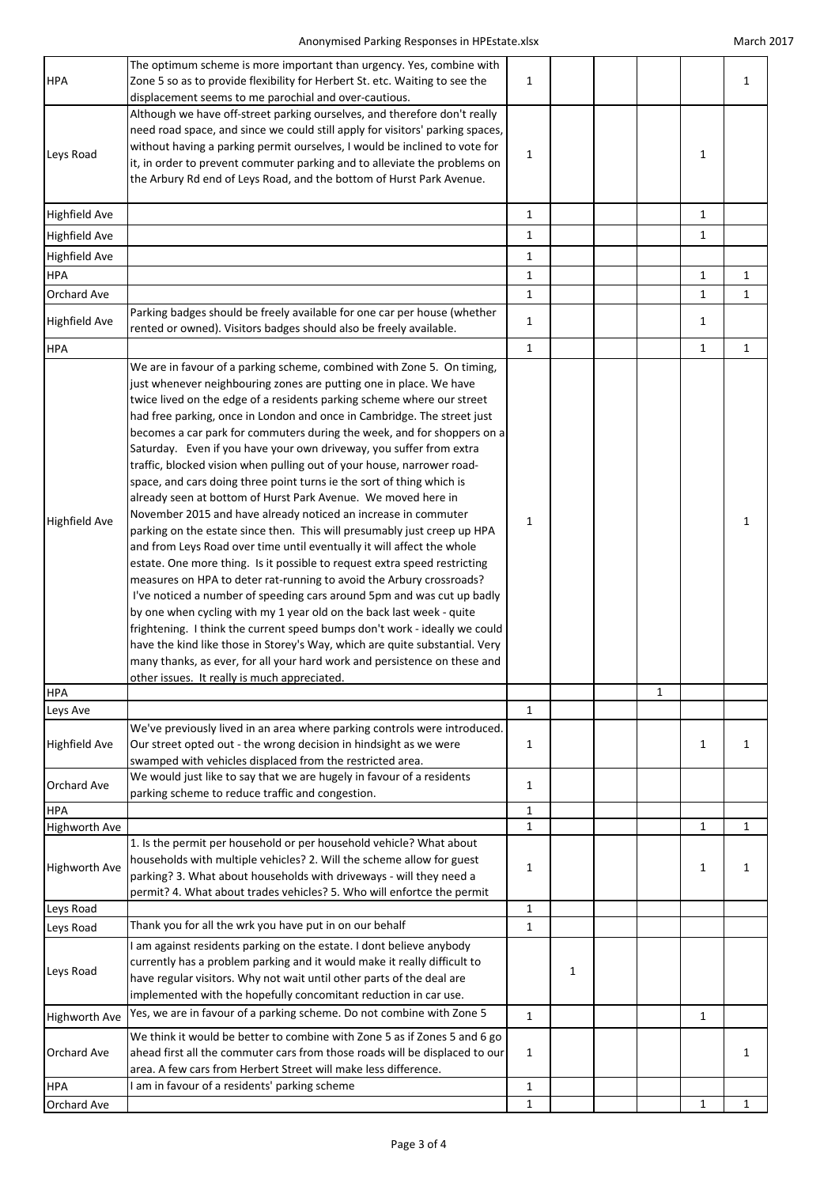| <b>HPA</b>                       | The optimum scheme is more important than urgency. Yes, combine with<br>Zone 5 so as to provide flexibility for Herbert St. etc. Waiting to see the<br>displacement seems to me parochial and over-cautious.                                                                                                                                                                                                                                                                                                                                                                                                                                                                                                                                                                                                                                                                                                                                                                                                                                                                                                                                                                                                                                                                                                                                                                                                                                                                                     | $\mathbf{1}$                 |   |   |              | 1            |
|----------------------------------|--------------------------------------------------------------------------------------------------------------------------------------------------------------------------------------------------------------------------------------------------------------------------------------------------------------------------------------------------------------------------------------------------------------------------------------------------------------------------------------------------------------------------------------------------------------------------------------------------------------------------------------------------------------------------------------------------------------------------------------------------------------------------------------------------------------------------------------------------------------------------------------------------------------------------------------------------------------------------------------------------------------------------------------------------------------------------------------------------------------------------------------------------------------------------------------------------------------------------------------------------------------------------------------------------------------------------------------------------------------------------------------------------------------------------------------------------------------------------------------------------|------------------------------|---|---|--------------|--------------|
| Leys Road                        | Although we have off-street parking ourselves, and therefore don't really<br>need road space, and since we could still apply for visitors' parking spaces,<br>without having a parking permit ourselves, I would be inclined to vote for<br>it, in order to prevent commuter parking and to alleviate the problems on<br>the Arbury Rd end of Leys Road, and the bottom of Hurst Park Avenue.                                                                                                                                                                                                                                                                                                                                                                                                                                                                                                                                                                                                                                                                                                                                                                                                                                                                                                                                                                                                                                                                                                    | $\mathbf{1}$                 |   |   | 1            |              |
| Highfield Ave                    |                                                                                                                                                                                                                                                                                                                                                                                                                                                                                                                                                                                                                                                                                                                                                                                                                                                                                                                                                                                                                                                                                                                                                                                                                                                                                                                                                                                                                                                                                                  | $\mathbf{1}$                 |   |   | $\mathbf{1}$ |              |
| <b>Highfield Ave</b>             |                                                                                                                                                                                                                                                                                                                                                                                                                                                                                                                                                                                                                                                                                                                                                                                                                                                                                                                                                                                                                                                                                                                                                                                                                                                                                                                                                                                                                                                                                                  | $\mathbf{1}$                 |   |   | $\mathbf{1}$ |              |
| Highfield Ave                    |                                                                                                                                                                                                                                                                                                                                                                                                                                                                                                                                                                                                                                                                                                                                                                                                                                                                                                                                                                                                                                                                                                                                                                                                                                                                                                                                                                                                                                                                                                  | $\mathbf{1}$                 |   |   |              |              |
| <b>HPA</b>                       |                                                                                                                                                                                                                                                                                                                                                                                                                                                                                                                                                                                                                                                                                                                                                                                                                                                                                                                                                                                                                                                                                                                                                                                                                                                                                                                                                                                                                                                                                                  | $\mathbf 1$                  |   |   | 1            | 1            |
| Orchard Ave                      |                                                                                                                                                                                                                                                                                                                                                                                                                                                                                                                                                                                                                                                                                                                                                                                                                                                                                                                                                                                                                                                                                                                                                                                                                                                                                                                                                                                                                                                                                                  | $\mathbf{1}$                 |   |   | 1            | 1            |
| <b>Highfield Ave</b>             | Parking badges should be freely available for one car per house (whether<br>rented or owned). Visitors badges should also be freely available.                                                                                                                                                                                                                                                                                                                                                                                                                                                                                                                                                                                                                                                                                                                                                                                                                                                                                                                                                                                                                                                                                                                                                                                                                                                                                                                                                   | $\mathbf{1}$                 |   |   | 1            |              |
| <b>HPA</b>                       |                                                                                                                                                                                                                                                                                                                                                                                                                                                                                                                                                                                                                                                                                                                                                                                                                                                                                                                                                                                                                                                                                                                                                                                                                                                                                                                                                                                                                                                                                                  | $\mathbf{1}$                 |   |   | $\mathbf{1}$ | $\mathbf{1}$ |
| <b>Highfield Ave</b>             | We are in favour of a parking scheme, combined with Zone 5. On timing,<br>just whenever neighbouring zones are putting one in place. We have<br>twice lived on the edge of a residents parking scheme where our street<br>had free parking, once in London and once in Cambridge. The street just<br>becomes a car park for commuters during the week, and for shoppers on a<br>Saturday. Even if you have your own driveway, you suffer from extra<br>traffic, blocked vision when pulling out of your house, narrower road-<br>space, and cars doing three point turns ie the sort of thing which is<br>already seen at bottom of Hurst Park Avenue. We moved here in<br>November 2015 and have already noticed an increase in commuter<br>parking on the estate since then. This will presumably just creep up HPA<br>and from Leys Road over time until eventually it will affect the whole<br>estate. One more thing. Is it possible to request extra speed restricting<br>measures on HPA to deter rat-running to avoid the Arbury crossroads?<br>I've noticed a number of speeding cars around 5pm and was cut up badly<br>by one when cycling with my 1 year old on the back last week - quite<br>frightening. I think the current speed bumps don't work - ideally we could<br>have the kind like those in Storey's Way, which are quite substantial. Very<br>many thanks, as ever, for all your hard work and persistence on these and<br>other issues. It really is much appreciated. | $\mathbf{1}$                 |   |   |              | $\mathbf{1}$ |
| <b>HPA</b>                       |                                                                                                                                                                                                                                                                                                                                                                                                                                                                                                                                                                                                                                                                                                                                                                                                                                                                                                                                                                                                                                                                                                                                                                                                                                                                                                                                                                                                                                                                                                  |                              |   | 1 |              |              |
| Leys Ave<br><b>Highfield Ave</b> | We've previously lived in an area where parking controls were introduced.<br>Our street opted out - the wrong decision in hindsight as we were<br>swamped with vehicles displaced from the restricted area.                                                                                                                                                                                                                                                                                                                                                                                                                                                                                                                                                                                                                                                                                                                                                                                                                                                                                                                                                                                                                                                                                                                                                                                                                                                                                      | $\mathbf{1}$<br>$\mathbf{1}$ |   |   | 1            | 1            |
| Orchard Ave                      | We would just like to say that we are hugely in favour of a residents<br>parking scheme to reduce traffic and congestion.                                                                                                                                                                                                                                                                                                                                                                                                                                                                                                                                                                                                                                                                                                                                                                                                                                                                                                                                                                                                                                                                                                                                                                                                                                                                                                                                                                        | $\mathbf{1}$                 |   |   |              |              |
| HPA                              |                                                                                                                                                                                                                                                                                                                                                                                                                                                                                                                                                                                                                                                                                                                                                                                                                                                                                                                                                                                                                                                                                                                                                                                                                                                                                                                                                                                                                                                                                                  | $\mathbf{1}$                 |   |   |              |              |
| Highworth Ave                    | 1. Is the permit per household or per household vehicle? What about                                                                                                                                                                                                                                                                                                                                                                                                                                                                                                                                                                                                                                                                                                                                                                                                                                                                                                                                                                                                                                                                                                                                                                                                                                                                                                                                                                                                                              | $\mathbf{1}$                 |   |   | $\mathbf{1}$ | $\mathbf{1}$ |
| Highworth Ave                    | households with multiple vehicles? 2. Will the scheme allow for guest<br>parking? 3. What about households with driveways - will they need a<br>permit? 4. What about trades vehicles? 5. Who will enfortce the permit                                                                                                                                                                                                                                                                                                                                                                                                                                                                                                                                                                                                                                                                                                                                                                                                                                                                                                                                                                                                                                                                                                                                                                                                                                                                           | $\mathbf{1}$                 |   |   | $\mathbf{1}$ | $\mathbf{1}$ |
| Leys Road                        |                                                                                                                                                                                                                                                                                                                                                                                                                                                                                                                                                                                                                                                                                                                                                                                                                                                                                                                                                                                                                                                                                                                                                                                                                                                                                                                                                                                                                                                                                                  | $\mathbf{1}$                 |   |   |              |              |
| Leys Road                        | Thank you for all the wrk you have put in on our behalf                                                                                                                                                                                                                                                                                                                                                                                                                                                                                                                                                                                                                                                                                                                                                                                                                                                                                                                                                                                                                                                                                                                                                                                                                                                                                                                                                                                                                                          | $\mathbf{1}$                 |   |   |              |              |
| Leys Road                        | I am against residents parking on the estate. I dont believe anybody<br>currently has a problem parking and it would make it really difficult to<br>have regular visitors. Why not wait until other parts of the deal are<br>implemented with the hopefully concomitant reduction in car use.                                                                                                                                                                                                                                                                                                                                                                                                                                                                                                                                                                                                                                                                                                                                                                                                                                                                                                                                                                                                                                                                                                                                                                                                    |                              | 1 |   |              |              |
| Highworth Ave                    | Yes, we are in favour of a parking scheme. Do not combine with Zone 5                                                                                                                                                                                                                                                                                                                                                                                                                                                                                                                                                                                                                                                                                                                                                                                                                                                                                                                                                                                                                                                                                                                                                                                                                                                                                                                                                                                                                            | $\mathbf{1}$                 |   |   | $\mathbf{1}$ |              |
| Orchard Ave                      | We think it would be better to combine with Zone 5 as if Zones 5 and 6 go<br>ahead first all the commuter cars from those roads will be displaced to our<br>area. A few cars from Herbert Street will make less difference.                                                                                                                                                                                                                                                                                                                                                                                                                                                                                                                                                                                                                                                                                                                                                                                                                                                                                                                                                                                                                                                                                                                                                                                                                                                                      | $\mathbf{1}$                 |   |   |              | 1            |
| <b>HPA</b>                       | I am in favour of a residents' parking scheme                                                                                                                                                                                                                                                                                                                                                                                                                                                                                                                                                                                                                                                                                                                                                                                                                                                                                                                                                                                                                                                                                                                                                                                                                                                                                                                                                                                                                                                    | $\mathbf{1}$                 |   |   |              |              |
| Orchard Ave                      |                                                                                                                                                                                                                                                                                                                                                                                                                                                                                                                                                                                                                                                                                                                                                                                                                                                                                                                                                                                                                                                                                                                                                                                                                                                                                                                                                                                                                                                                                                  | 1                            |   |   | $\mathbf{1}$ | 1            |